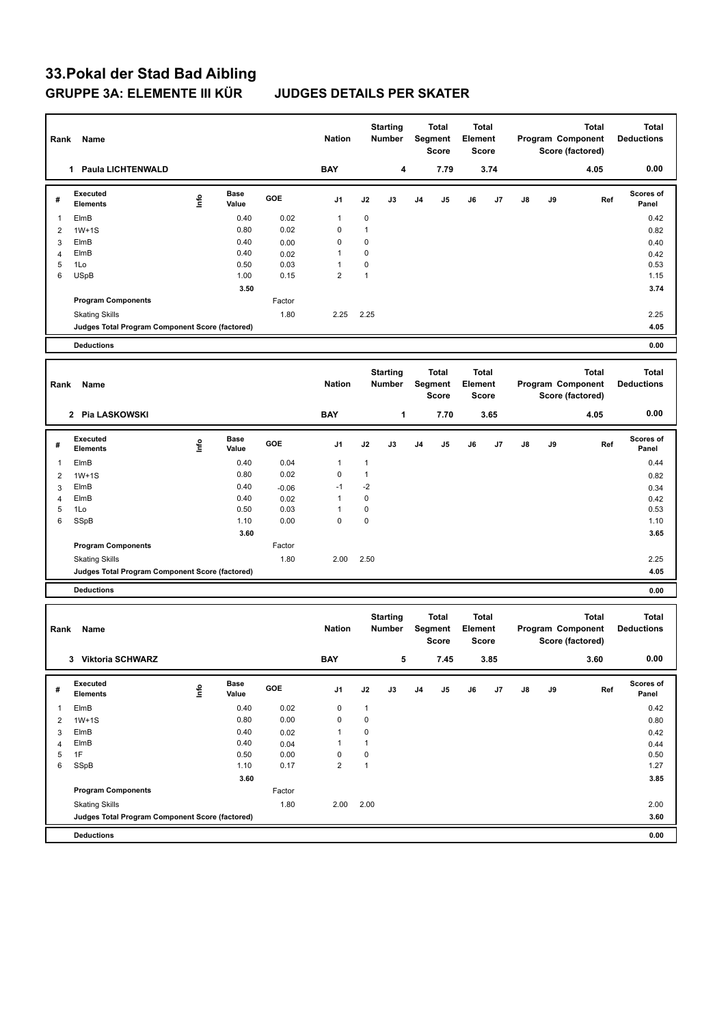# **33.Pokal der Stad Bad Aibling GRUPPE 3A: ELEMENTE III KÜR JUDGES DETAILS PER SKATER**

| 0.00<br><b>BAY</b><br>7.79<br>3.74<br>1 Paula LICHTENWALD<br>4<br>4.05<br>Executed<br><b>Base</b><br><b>Scores of</b><br>١nfo<br>GOE<br>J2<br>J5<br>J8<br>J9<br>Ref<br>#<br>J1<br>J3<br>J4<br>J6<br>J7<br><b>Elements</b><br>Value<br>Panel<br>0.02<br>$\mathbf 0$<br>ElmB<br>0.40<br>0.42<br>$\mathbf{1}$<br>1<br>0<br>0.80<br>0.02<br>1<br>$1W+1S$<br>0.82<br>2<br>0<br>$\mathbf 0$<br>ElmB<br>0.40<br>0.00<br>3<br>0.40<br>$\mathbf 0$<br>0.40<br>1<br>ElmB<br>0.02<br>4<br>0.42<br>5<br>0.03<br>$\mathbf 0$<br>1Lo<br>0.50<br>1<br>0.53<br>$\overline{2}$<br>$\mathbf{1}$<br>6<br><b>USpB</b><br>1.00<br>0.15<br>1.15<br>3.50<br>3.74<br><b>Program Components</b><br>Factor<br>1.80<br>2.25<br><b>Skating Skills</b><br>2.25<br>2.25<br>4.05<br>Judges Total Program Component Score (factored)<br>0.00<br><b>Deductions</b><br><b>Starting</b><br><b>Total</b><br><b>Total</b><br>Total<br><b>Total</b><br>Segment<br>Element<br>Program Component<br><b>Nation</b><br><b>Number</b><br><b>Deductions</b><br>Rank<br>Name<br><b>Score</b><br><b>Score</b><br>Score (factored)<br>0.00<br><b>BAY</b><br>1<br>7.70<br>2 Pia LASKOWSKI<br>3.65<br>4.05<br><b>Executed</b><br><b>Scores of</b><br>Base<br>lnfo<br>GOE<br>J1<br>J2<br>J9<br>#<br>J3<br>J4<br>J5<br>J6<br>J7<br>J8<br>Ref<br><b>Elements</b><br>Value<br>Panel<br>0.04<br>ElmB<br>0.40<br>1<br>$\mathbf{1}$<br>0.44<br>$\overline{1}$<br>0.02<br>0<br>0.80<br>$\mathbf{1}$<br>$\overline{2}$<br>$1W+1S$<br>0.82<br>$-2$<br>ElmB<br>0.40<br>$-1$<br>$-0.06$<br>3<br>0.34<br>$\mathbf 0$<br>ElmB<br>0.40<br>1<br>0.02<br>0.42<br>$\overline{4}$<br>5<br>$\mathbf 0$<br>0.50<br>0.03<br>1<br>0.53<br>1Lo<br>$\mathbf 0$<br>0.00<br>$\mathbf 0$<br>6<br>SSpB<br>1.10<br>1.10<br>3.60<br>3.65<br>Factor<br><b>Program Components</b><br>1.80<br>2.00<br>2.50<br>2.25<br><b>Skating Skills</b><br>4.05<br>Judges Total Program Component Score (factored)<br><b>Deductions</b><br>0.00<br><b>Starting</b><br><b>Total</b><br><b>Total</b><br><b>Total</b><br><b>Total</b><br>Segment<br><b>Nation</b><br>Element<br>Program Component<br><b>Deductions</b><br>Name<br>Number<br>Rank<br><b>Score</b><br><b>Score</b><br>Score (factored)<br>0.00<br><b>BAY</b><br>3 Viktoria SCHWARZ<br>5<br>7.45<br>3.85<br>3.60<br>Executed<br>Scores of<br><b>Base</b><br>lnfo<br>GOE<br>J1<br>J2<br>J3<br>J <sub>4</sub><br>J5<br>J6<br>J7<br>$\mathsf{J}8$<br>J9<br>Ref<br>#<br><b>Elements</b><br>Value<br>Panel<br>0.40<br>0.02<br>0<br>$\mathbf{1}$<br>0.42<br>$\mathbf{1}$<br>ElmB<br>0<br>$\mathbf 0$<br>0.80<br>0.00<br>$\overline{2}$<br>$1W+1S$<br>0.80<br>$\mathbf 0$<br>0.40<br>$\mathbf{1}$<br>ElmB<br>0.02<br>0.42<br>3<br>0.40<br>$\mathbf{1}$<br>$\mathbf{1}$<br>ElmB<br>0.04<br>0.44<br>$\overline{4}$<br>$\mathbf 0$<br>5<br>1F<br>0.50<br>0.00<br>0<br>0.50<br>$\overline{2}$<br>$\mathbf{1}$<br>0.17<br>6<br>SSpB<br>1.10<br>1.27<br>3.60<br>3.85<br><b>Program Components</b><br>Factor<br>1.80<br>2.00<br>2.00<br><b>Skating Skills</b><br>2.00<br>Judges Total Program Component Score (factored)<br>3.60 | Segment<br>Element<br><b>Nation</b><br>Number<br>Name<br><b>Score</b><br><b>Score</b> | Score (factored) |
|-------------------------------------------------------------------------------------------------------------------------------------------------------------------------------------------------------------------------------------------------------------------------------------------------------------------------------------------------------------------------------------------------------------------------------------------------------------------------------------------------------------------------------------------------------------------------------------------------------------------------------------------------------------------------------------------------------------------------------------------------------------------------------------------------------------------------------------------------------------------------------------------------------------------------------------------------------------------------------------------------------------------------------------------------------------------------------------------------------------------------------------------------------------------------------------------------------------------------------------------------------------------------------------------------------------------------------------------------------------------------------------------------------------------------------------------------------------------------------------------------------------------------------------------------------------------------------------------------------------------------------------------------------------------------------------------------------------------------------------------------------------------------------------------------------------------------------------------------------------------------------------------------------------------------------------------------------------------------------------------------------------------------------------------------------------------------------------------------------------------------------------------------------------------------------------------------------------------------------------------------------------------------------------------------------------------------------------------------------------------------------------------------------------------------------------------------------------------------------------------------------------------------------------------------------------------------------------------------------------------------------------------------------------------------------------------------------------------------------------------------------------------------------------------------------------------------------------------------------------------------------------------------------------------------------------------------------------------------------------------------------------------------------------------------------------------------------|---------------------------------------------------------------------------------------|------------------|
|                                                                                                                                                                                                                                                                                                                                                                                                                                                                                                                                                                                                                                                                                                                                                                                                                                                                                                                                                                                                                                                                                                                                                                                                                                                                                                                                                                                                                                                                                                                                                                                                                                                                                                                                                                                                                                                                                                                                                                                                                                                                                                                                                                                                                                                                                                                                                                                                                                                                                                                                                                                                                                                                                                                                                                                                                                                                                                                                                                                                                                                                               |                                                                                       |                  |
|                                                                                                                                                                                                                                                                                                                                                                                                                                                                                                                                                                                                                                                                                                                                                                                                                                                                                                                                                                                                                                                                                                                                                                                                                                                                                                                                                                                                                                                                                                                                                                                                                                                                                                                                                                                                                                                                                                                                                                                                                                                                                                                                                                                                                                                                                                                                                                                                                                                                                                                                                                                                                                                                                                                                                                                                                                                                                                                                                                                                                                                                               |                                                                                       |                  |
|                                                                                                                                                                                                                                                                                                                                                                                                                                                                                                                                                                                                                                                                                                                                                                                                                                                                                                                                                                                                                                                                                                                                                                                                                                                                                                                                                                                                                                                                                                                                                                                                                                                                                                                                                                                                                                                                                                                                                                                                                                                                                                                                                                                                                                                                                                                                                                                                                                                                                                                                                                                                                                                                                                                                                                                                                                                                                                                                                                                                                                                                               |                                                                                       |                  |
|                                                                                                                                                                                                                                                                                                                                                                                                                                                                                                                                                                                                                                                                                                                                                                                                                                                                                                                                                                                                                                                                                                                                                                                                                                                                                                                                                                                                                                                                                                                                                                                                                                                                                                                                                                                                                                                                                                                                                                                                                                                                                                                                                                                                                                                                                                                                                                                                                                                                                                                                                                                                                                                                                                                                                                                                                                                                                                                                                                                                                                                                               |                                                                                       |                  |
|                                                                                                                                                                                                                                                                                                                                                                                                                                                                                                                                                                                                                                                                                                                                                                                                                                                                                                                                                                                                                                                                                                                                                                                                                                                                                                                                                                                                                                                                                                                                                                                                                                                                                                                                                                                                                                                                                                                                                                                                                                                                                                                                                                                                                                                                                                                                                                                                                                                                                                                                                                                                                                                                                                                                                                                                                                                                                                                                                                                                                                                                               |                                                                                       |                  |
|                                                                                                                                                                                                                                                                                                                                                                                                                                                                                                                                                                                                                                                                                                                                                                                                                                                                                                                                                                                                                                                                                                                                                                                                                                                                                                                                                                                                                                                                                                                                                                                                                                                                                                                                                                                                                                                                                                                                                                                                                                                                                                                                                                                                                                                                                                                                                                                                                                                                                                                                                                                                                                                                                                                                                                                                                                                                                                                                                                                                                                                                               |                                                                                       |                  |
|                                                                                                                                                                                                                                                                                                                                                                                                                                                                                                                                                                                                                                                                                                                                                                                                                                                                                                                                                                                                                                                                                                                                                                                                                                                                                                                                                                                                                                                                                                                                                                                                                                                                                                                                                                                                                                                                                                                                                                                                                                                                                                                                                                                                                                                                                                                                                                                                                                                                                                                                                                                                                                                                                                                                                                                                                                                                                                                                                                                                                                                                               |                                                                                       |                  |
|                                                                                                                                                                                                                                                                                                                                                                                                                                                                                                                                                                                                                                                                                                                                                                                                                                                                                                                                                                                                                                                                                                                                                                                                                                                                                                                                                                                                                                                                                                                                                                                                                                                                                                                                                                                                                                                                                                                                                                                                                                                                                                                                                                                                                                                                                                                                                                                                                                                                                                                                                                                                                                                                                                                                                                                                                                                                                                                                                                                                                                                                               |                                                                                       |                  |
|                                                                                                                                                                                                                                                                                                                                                                                                                                                                                                                                                                                                                                                                                                                                                                                                                                                                                                                                                                                                                                                                                                                                                                                                                                                                                                                                                                                                                                                                                                                                                                                                                                                                                                                                                                                                                                                                                                                                                                                                                                                                                                                                                                                                                                                                                                                                                                                                                                                                                                                                                                                                                                                                                                                                                                                                                                                                                                                                                                                                                                                                               |                                                                                       |                  |
|                                                                                                                                                                                                                                                                                                                                                                                                                                                                                                                                                                                                                                                                                                                                                                                                                                                                                                                                                                                                                                                                                                                                                                                                                                                                                                                                                                                                                                                                                                                                                                                                                                                                                                                                                                                                                                                                                                                                                                                                                                                                                                                                                                                                                                                                                                                                                                                                                                                                                                                                                                                                                                                                                                                                                                                                                                                                                                                                                                                                                                                                               |                                                                                       |                  |
|                                                                                                                                                                                                                                                                                                                                                                                                                                                                                                                                                                                                                                                                                                                                                                                                                                                                                                                                                                                                                                                                                                                                                                                                                                                                                                                                                                                                                                                                                                                                                                                                                                                                                                                                                                                                                                                                                                                                                                                                                                                                                                                                                                                                                                                                                                                                                                                                                                                                                                                                                                                                                                                                                                                                                                                                                                                                                                                                                                                                                                                                               |                                                                                       |                  |
|                                                                                                                                                                                                                                                                                                                                                                                                                                                                                                                                                                                                                                                                                                                                                                                                                                                                                                                                                                                                                                                                                                                                                                                                                                                                                                                                                                                                                                                                                                                                                                                                                                                                                                                                                                                                                                                                                                                                                                                                                                                                                                                                                                                                                                                                                                                                                                                                                                                                                                                                                                                                                                                                                                                                                                                                                                                                                                                                                                                                                                                                               |                                                                                       |                  |
|                                                                                                                                                                                                                                                                                                                                                                                                                                                                                                                                                                                                                                                                                                                                                                                                                                                                                                                                                                                                                                                                                                                                                                                                                                                                                                                                                                                                                                                                                                                                                                                                                                                                                                                                                                                                                                                                                                                                                                                                                                                                                                                                                                                                                                                                                                                                                                                                                                                                                                                                                                                                                                                                                                                                                                                                                                                                                                                                                                                                                                                                               |                                                                                       |                  |
|                                                                                                                                                                                                                                                                                                                                                                                                                                                                                                                                                                                                                                                                                                                                                                                                                                                                                                                                                                                                                                                                                                                                                                                                                                                                                                                                                                                                                                                                                                                                                                                                                                                                                                                                                                                                                                                                                                                                                                                                                                                                                                                                                                                                                                                                                                                                                                                                                                                                                                                                                                                                                                                                                                                                                                                                                                                                                                                                                                                                                                                                               |                                                                                       |                  |
|                                                                                                                                                                                                                                                                                                                                                                                                                                                                                                                                                                                                                                                                                                                                                                                                                                                                                                                                                                                                                                                                                                                                                                                                                                                                                                                                                                                                                                                                                                                                                                                                                                                                                                                                                                                                                                                                                                                                                                                                                                                                                                                                                                                                                                                                                                                                                                                                                                                                                                                                                                                                                                                                                                                                                                                                                                                                                                                                                                                                                                                                               |                                                                                       |                  |
|                                                                                                                                                                                                                                                                                                                                                                                                                                                                                                                                                                                                                                                                                                                                                                                                                                                                                                                                                                                                                                                                                                                                                                                                                                                                                                                                                                                                                                                                                                                                                                                                                                                                                                                                                                                                                                                                                                                                                                                                                                                                                                                                                                                                                                                                                                                                                                                                                                                                                                                                                                                                                                                                                                                                                                                                                                                                                                                                                                                                                                                                               |                                                                                       |                  |
|                                                                                                                                                                                                                                                                                                                                                                                                                                                                                                                                                                                                                                                                                                                                                                                                                                                                                                                                                                                                                                                                                                                                                                                                                                                                                                                                                                                                                                                                                                                                                                                                                                                                                                                                                                                                                                                                                                                                                                                                                                                                                                                                                                                                                                                                                                                                                                                                                                                                                                                                                                                                                                                                                                                                                                                                                                                                                                                                                                                                                                                                               |                                                                                       |                  |
|                                                                                                                                                                                                                                                                                                                                                                                                                                                                                                                                                                                                                                                                                                                                                                                                                                                                                                                                                                                                                                                                                                                                                                                                                                                                                                                                                                                                                                                                                                                                                                                                                                                                                                                                                                                                                                                                                                                                                                                                                                                                                                                                                                                                                                                                                                                                                                                                                                                                                                                                                                                                                                                                                                                                                                                                                                                                                                                                                                                                                                                                               |                                                                                       |                  |
|                                                                                                                                                                                                                                                                                                                                                                                                                                                                                                                                                                                                                                                                                                                                                                                                                                                                                                                                                                                                                                                                                                                                                                                                                                                                                                                                                                                                                                                                                                                                                                                                                                                                                                                                                                                                                                                                                                                                                                                                                                                                                                                                                                                                                                                                                                                                                                                                                                                                                                                                                                                                                                                                                                                                                                                                                                                                                                                                                                                                                                                                               |                                                                                       |                  |
|                                                                                                                                                                                                                                                                                                                                                                                                                                                                                                                                                                                                                                                                                                                                                                                                                                                                                                                                                                                                                                                                                                                                                                                                                                                                                                                                                                                                                                                                                                                                                                                                                                                                                                                                                                                                                                                                                                                                                                                                                                                                                                                                                                                                                                                                                                                                                                                                                                                                                                                                                                                                                                                                                                                                                                                                                                                                                                                                                                                                                                                                               |                                                                                       |                  |
|                                                                                                                                                                                                                                                                                                                                                                                                                                                                                                                                                                                                                                                                                                                                                                                                                                                                                                                                                                                                                                                                                                                                                                                                                                                                                                                                                                                                                                                                                                                                                                                                                                                                                                                                                                                                                                                                                                                                                                                                                                                                                                                                                                                                                                                                                                                                                                                                                                                                                                                                                                                                                                                                                                                                                                                                                                                                                                                                                                                                                                                                               |                                                                                       |                  |
|                                                                                                                                                                                                                                                                                                                                                                                                                                                                                                                                                                                                                                                                                                                                                                                                                                                                                                                                                                                                                                                                                                                                                                                                                                                                                                                                                                                                                                                                                                                                                                                                                                                                                                                                                                                                                                                                                                                                                                                                                                                                                                                                                                                                                                                                                                                                                                                                                                                                                                                                                                                                                                                                                                                                                                                                                                                                                                                                                                                                                                                                               |                                                                                       |                  |
|                                                                                                                                                                                                                                                                                                                                                                                                                                                                                                                                                                                                                                                                                                                                                                                                                                                                                                                                                                                                                                                                                                                                                                                                                                                                                                                                                                                                                                                                                                                                                                                                                                                                                                                                                                                                                                                                                                                                                                                                                                                                                                                                                                                                                                                                                                                                                                                                                                                                                                                                                                                                                                                                                                                                                                                                                                                                                                                                                                                                                                                                               |                                                                                       |                  |
|                                                                                                                                                                                                                                                                                                                                                                                                                                                                                                                                                                                                                                                                                                                                                                                                                                                                                                                                                                                                                                                                                                                                                                                                                                                                                                                                                                                                                                                                                                                                                                                                                                                                                                                                                                                                                                                                                                                                                                                                                                                                                                                                                                                                                                                                                                                                                                                                                                                                                                                                                                                                                                                                                                                                                                                                                                                                                                                                                                                                                                                                               |                                                                                       |                  |
|                                                                                                                                                                                                                                                                                                                                                                                                                                                                                                                                                                                                                                                                                                                                                                                                                                                                                                                                                                                                                                                                                                                                                                                                                                                                                                                                                                                                                                                                                                                                                                                                                                                                                                                                                                                                                                                                                                                                                                                                                                                                                                                                                                                                                                                                                                                                                                                                                                                                                                                                                                                                                                                                                                                                                                                                                                                                                                                                                                                                                                                                               |                                                                                       |                  |
|                                                                                                                                                                                                                                                                                                                                                                                                                                                                                                                                                                                                                                                                                                                                                                                                                                                                                                                                                                                                                                                                                                                                                                                                                                                                                                                                                                                                                                                                                                                                                                                                                                                                                                                                                                                                                                                                                                                                                                                                                                                                                                                                                                                                                                                                                                                                                                                                                                                                                                                                                                                                                                                                                                                                                                                                                                                                                                                                                                                                                                                                               |                                                                                       |                  |
|                                                                                                                                                                                                                                                                                                                                                                                                                                                                                                                                                                                                                                                                                                                                                                                                                                                                                                                                                                                                                                                                                                                                                                                                                                                                                                                                                                                                                                                                                                                                                                                                                                                                                                                                                                                                                                                                                                                                                                                                                                                                                                                                                                                                                                                                                                                                                                                                                                                                                                                                                                                                                                                                                                                                                                                                                                                                                                                                                                                                                                                                               |                                                                                       |                  |
|                                                                                                                                                                                                                                                                                                                                                                                                                                                                                                                                                                                                                                                                                                                                                                                                                                                                                                                                                                                                                                                                                                                                                                                                                                                                                                                                                                                                                                                                                                                                                                                                                                                                                                                                                                                                                                                                                                                                                                                                                                                                                                                                                                                                                                                                                                                                                                                                                                                                                                                                                                                                                                                                                                                                                                                                                                                                                                                                                                                                                                                                               |                                                                                       |                  |
|                                                                                                                                                                                                                                                                                                                                                                                                                                                                                                                                                                                                                                                                                                                                                                                                                                                                                                                                                                                                                                                                                                                                                                                                                                                                                                                                                                                                                                                                                                                                                                                                                                                                                                                                                                                                                                                                                                                                                                                                                                                                                                                                                                                                                                                                                                                                                                                                                                                                                                                                                                                                                                                                                                                                                                                                                                                                                                                                                                                                                                                                               |                                                                                       |                  |
|                                                                                                                                                                                                                                                                                                                                                                                                                                                                                                                                                                                                                                                                                                                                                                                                                                                                                                                                                                                                                                                                                                                                                                                                                                                                                                                                                                                                                                                                                                                                                                                                                                                                                                                                                                                                                                                                                                                                                                                                                                                                                                                                                                                                                                                                                                                                                                                                                                                                                                                                                                                                                                                                                                                                                                                                                                                                                                                                                                                                                                                                               |                                                                                       |                  |
|                                                                                                                                                                                                                                                                                                                                                                                                                                                                                                                                                                                                                                                                                                                                                                                                                                                                                                                                                                                                                                                                                                                                                                                                                                                                                                                                                                                                                                                                                                                                                                                                                                                                                                                                                                                                                                                                                                                                                                                                                                                                                                                                                                                                                                                                                                                                                                                                                                                                                                                                                                                                                                                                                                                                                                                                                                                                                                                                                                                                                                                                               |                                                                                       |                  |
|                                                                                                                                                                                                                                                                                                                                                                                                                                                                                                                                                                                                                                                                                                                                                                                                                                                                                                                                                                                                                                                                                                                                                                                                                                                                                                                                                                                                                                                                                                                                                                                                                                                                                                                                                                                                                                                                                                                                                                                                                                                                                                                                                                                                                                                                                                                                                                                                                                                                                                                                                                                                                                                                                                                                                                                                                                                                                                                                                                                                                                                                               |                                                                                       |                  |
|                                                                                                                                                                                                                                                                                                                                                                                                                                                                                                                                                                                                                                                                                                                                                                                                                                                                                                                                                                                                                                                                                                                                                                                                                                                                                                                                                                                                                                                                                                                                                                                                                                                                                                                                                                                                                                                                                                                                                                                                                                                                                                                                                                                                                                                                                                                                                                                                                                                                                                                                                                                                                                                                                                                                                                                                                                                                                                                                                                                                                                                                               |                                                                                       |                  |
|                                                                                                                                                                                                                                                                                                                                                                                                                                                                                                                                                                                                                                                                                                                                                                                                                                                                                                                                                                                                                                                                                                                                                                                                                                                                                                                                                                                                                                                                                                                                                                                                                                                                                                                                                                                                                                                                                                                                                                                                                                                                                                                                                                                                                                                                                                                                                                                                                                                                                                                                                                                                                                                                                                                                                                                                                                                                                                                                                                                                                                                                               |                                                                                       |                  |
|                                                                                                                                                                                                                                                                                                                                                                                                                                                                                                                                                                                                                                                                                                                                                                                                                                                                                                                                                                                                                                                                                                                                                                                                                                                                                                                                                                                                                                                                                                                                                                                                                                                                                                                                                                                                                                                                                                                                                                                                                                                                                                                                                                                                                                                                                                                                                                                                                                                                                                                                                                                                                                                                                                                                                                                                                                                                                                                                                                                                                                                                               |                                                                                       |                  |
|                                                                                                                                                                                                                                                                                                                                                                                                                                                                                                                                                                                                                                                                                                                                                                                                                                                                                                                                                                                                                                                                                                                                                                                                                                                                                                                                                                                                                                                                                                                                                                                                                                                                                                                                                                                                                                                                                                                                                                                                                                                                                                                                                                                                                                                                                                                                                                                                                                                                                                                                                                                                                                                                                                                                                                                                                                                                                                                                                                                                                                                                               |                                                                                       |                  |
|                                                                                                                                                                                                                                                                                                                                                                                                                                                                                                                                                                                                                                                                                                                                                                                                                                                                                                                                                                                                                                                                                                                                                                                                                                                                                                                                                                                                                                                                                                                                                                                                                                                                                                                                                                                                                                                                                                                                                                                                                                                                                                                                                                                                                                                                                                                                                                                                                                                                                                                                                                                                                                                                                                                                                                                                                                                                                                                                                                                                                                                                               |                                                                                       |                  |
|                                                                                                                                                                                                                                                                                                                                                                                                                                                                                                                                                                                                                                                                                                                                                                                                                                                                                                                                                                                                                                                                                                                                                                                                                                                                                                                                                                                                                                                                                                                                                                                                                                                                                                                                                                                                                                                                                                                                                                                                                                                                                                                                                                                                                                                                                                                                                                                                                                                                                                                                                                                                                                                                                                                                                                                                                                                                                                                                                                                                                                                                               |                                                                                       |                  |
|                                                                                                                                                                                                                                                                                                                                                                                                                                                                                                                                                                                                                                                                                                                                                                                                                                                                                                                                                                                                                                                                                                                                                                                                                                                                                                                                                                                                                                                                                                                                                                                                                                                                                                                                                                                                                                                                                                                                                                                                                                                                                                                                                                                                                                                                                                                                                                                                                                                                                                                                                                                                                                                                                                                                                                                                                                                                                                                                                                                                                                                                               |                                                                                       |                  |
| 0.00<br><b>Deductions</b>                                                                                                                                                                                                                                                                                                                                                                                                                                                                                                                                                                                                                                                                                                                                                                                                                                                                                                                                                                                                                                                                                                                                                                                                                                                                                                                                                                                                                                                                                                                                                                                                                                                                                                                                                                                                                                                                                                                                                                                                                                                                                                                                                                                                                                                                                                                                                                                                                                                                                                                                                                                                                                                                                                                                                                                                                                                                                                                                                                                                                                                     |                                                                                       |                  |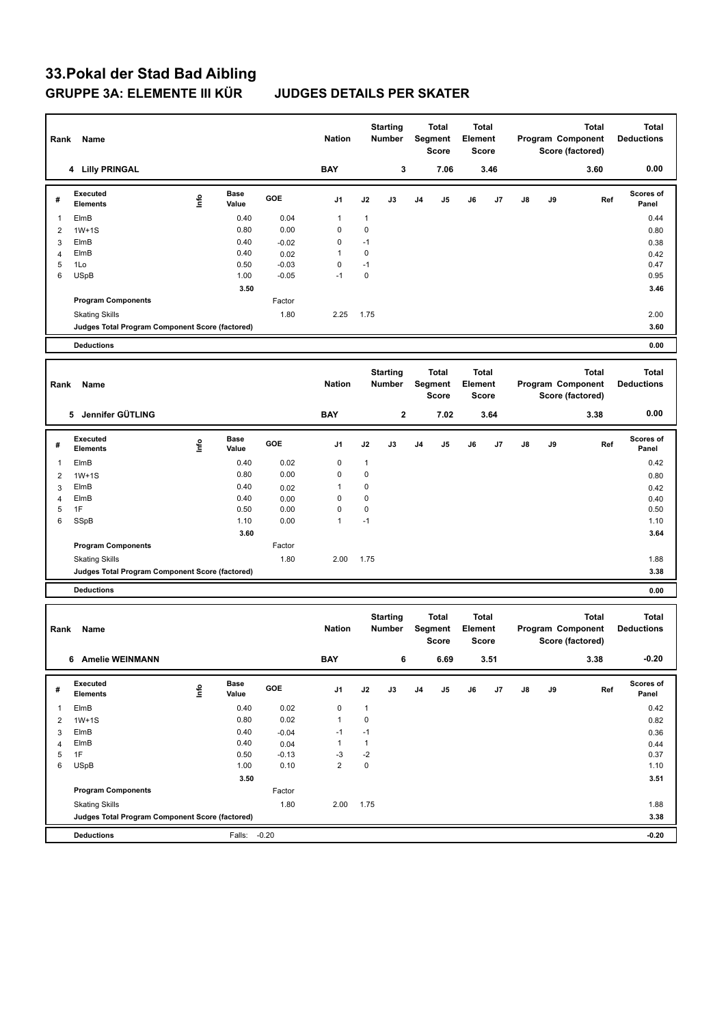# **33.Pokal der Stad Bad Aibling GRUPPE 3A: ELEMENTE III KÜR JUDGES DETAILS PER SKATER**

| Rank           | Name                                            |             |               |                    | <b>Nation</b>          |                     | <b>Starting</b><br>Number |                | <b>Total</b><br>Segment<br>Score | Element | <b>Total</b><br>Score |    |    | <b>Total</b><br>Program Component<br>Score (factored) | <b>Total</b><br><b>Deductions</b> |
|----------------|-------------------------------------------------|-------------|---------------|--------------------|------------------------|---------------------|---------------------------|----------------|----------------------------------|---------|-----------------------|----|----|-------------------------------------------------------|-----------------------------------|
|                | 4 Lilly PRINGAL                                 |             |               |                    | <b>BAY</b>             |                     | 3                         |                | 7.06                             |         | 3.46                  |    |    | 3.60                                                  | 0.00                              |
| #              | Executed<br><b>Elements</b>                     | <u>lnfo</u> | Base<br>Value | GOE                | J1                     | J2                  | J3                        | J4             | J5                               | J6      | J7                    | J8 | J9 | Ref                                                   | Scores of<br>Panel                |
| $\overline{1}$ | ElmB                                            |             | 0.40          | 0.04               | 1                      | $\mathbf{1}$        |                           |                |                                  |         |                       |    |    |                                                       | 0.44                              |
| $\overline{2}$ | $1W+1S$                                         |             | 0.80          | 0.00               | 0                      | $\mathbf 0$         |                           |                |                                  |         |                       |    |    |                                                       | 0.80                              |
| 3              | ElmB                                            |             | 0.40          | $-0.02$            | 0                      | $-1$                |                           |                |                                  |         |                       |    |    |                                                       | 0.38                              |
| 4              | ElmB                                            |             | 0.40          | 0.02               | 1                      | $\mathbf 0$         |                           |                |                                  |         |                       |    |    |                                                       | 0.42                              |
| 5<br>6         | 1Lo<br><b>USpB</b>                              |             | 0.50<br>1.00  | $-0.03$<br>$-0.05$ | 0<br>$-1$              | $-1$<br>$\mathbf 0$ |                           |                |                                  |         |                       |    |    |                                                       | 0.47<br>0.95                      |
|                |                                                 |             | 3.50          |                    |                        |                     |                           |                |                                  |         |                       |    |    |                                                       | 3.46                              |
|                | <b>Program Components</b>                       |             |               | Factor             |                        |                     |                           |                |                                  |         |                       |    |    |                                                       |                                   |
|                | <b>Skating Skills</b>                           |             |               | 1.80               | 2.25                   | 1.75                |                           |                |                                  |         |                       |    |    |                                                       | 2.00                              |
|                | Judges Total Program Component Score (factored) |             |               |                    |                        |                     |                           |                |                                  |         |                       |    |    |                                                       | 3.60                              |
|                | <b>Deductions</b>                               |             |               |                    |                        |                     |                           |                |                                  |         |                       |    |    |                                                       | 0.00                              |
|                |                                                 |             |               |                    |                        |                     |                           |                |                                  |         |                       |    |    |                                                       |                                   |
|                |                                                 |             |               |                    |                        |                     | <b>Starting</b>           |                | <b>Total</b>                     |         | <b>Total</b>          |    |    | <b>Total</b>                                          | <b>Total</b>                      |
| Rank           | Name                                            |             |               |                    | <b>Nation</b>          |                     | Number                    |                | Segment                          | Element |                       |    |    | Program Component                                     | <b>Deductions</b>                 |
|                |                                                 |             |               |                    |                        |                     |                           |                | <b>Score</b>                     |         | Score                 |    |    | Score (factored)                                      |                                   |
|                | 5 Jennifer GÜTLING                              |             |               |                    | <b>BAY</b>             |                     | $\mathbf 2$               |                | 7.02                             |         | 3.64                  |    |    | 3.38                                                  | 0.00                              |
|                | Executed                                        |             | Base          |                    |                        |                     |                           |                |                                  |         |                       |    |    |                                                       | Scores of                         |
| #              | <b>Elements</b>                                 | lnfo        | Value         | GOE                | J1                     | J2                  | J3                        | J4             | J5                               | J6      | J7                    | J8 | J9 | Ref                                                   | Panel                             |
| $\mathbf{1}$   | ElmB                                            |             | 0.40          | 0.02               | 0                      | 1                   |                           |                |                                  |         |                       |    |    |                                                       | 0.42                              |
| $\overline{2}$ | $1W+1S$                                         |             | 0.80          | 0.00               | 0                      | $\mathbf 0$         |                           |                |                                  |         |                       |    |    |                                                       | 0.80                              |
| 3              | ElmB                                            |             | 0.40          | 0.02               | 1                      | 0                   |                           |                |                                  |         |                       |    |    |                                                       | 0.42                              |
| 4              | ElmB                                            |             | 0.40          | 0.00               | 0                      | $\mathbf 0$         |                           |                |                                  |         |                       |    |    |                                                       | 0.40                              |
| 5              | 1F                                              |             | 0.50<br>1.10  | 0.00               | 0<br>1                 | $\mathbf 0$         |                           |                |                                  |         |                       |    |    |                                                       | 0.50                              |
| 6              | SSpB                                            |             | 3.60          | 0.00               |                        | $-1$                |                           |                |                                  |         |                       |    |    |                                                       | 1.10<br>3.64                      |
|                | <b>Program Components</b>                       |             |               | Factor             |                        |                     |                           |                |                                  |         |                       |    |    |                                                       |                                   |
|                | <b>Skating Skills</b>                           |             |               | 1.80               | 2.00                   | 1.75                |                           |                |                                  |         |                       |    |    |                                                       | 1.88                              |
|                | Judges Total Program Component Score (factored) |             |               |                    |                        |                     |                           |                |                                  |         |                       |    |    |                                                       | 3.38                              |
|                | <b>Deductions</b>                               |             |               |                    |                        |                     |                           |                |                                  |         |                       |    |    |                                                       | 0.00                              |
|                |                                                 |             |               |                    |                        |                     |                           |                |                                  |         |                       |    |    |                                                       |                                   |
|                |                                                 |             |               |                    |                        |                     | <b>Starting</b>           |                | Total                            |         | <b>Total</b>          |    |    | <b>Total</b>                                          | <b>Total</b>                      |
| Rank           | Name                                            |             |               |                    | <b>Nation</b>          |                     | <b>Number</b>             |                | Segment                          | Element |                       |    |    | Program Component                                     | <b>Deductions</b>                 |
|                |                                                 |             |               |                    |                        |                     |                           |                | Score                            |         | Score                 |    |    | Score (factored)                                      |                                   |
|                | 6 Amelie WEINMANN                               |             |               |                    | <b>BAY</b>             |                     | 6                         |                | 6.69                             |         | 3.51                  |    |    | 3.38                                                  | $-0.20$                           |
|                | Executed                                        |             | Base          | GOE                |                        |                     |                           |                |                                  |         |                       |    |    |                                                       | Scores of                         |
| #              | <b>Elements</b>                                 | lnfo        | Value         |                    | J1                     | J2                  | J3                        | J <sub>4</sub> | J5                               | J6      | J7                    | J8 | J9 | Ref                                                   | Panel                             |
| $\overline{1}$ | ElmB                                            |             | 0.40          | 0.02               | 0                      | $\mathbf{1}$        |                           |                |                                  |         |                       |    |    |                                                       | 0.42                              |
| $\overline{2}$ | $1W+1S$                                         |             | 0.80          | 0.02               | $\mathbf{1}$           | $\mathbf 0$         |                           |                |                                  |         |                       |    |    |                                                       | 0.82                              |
| 3              | ElmB                                            |             | 0.40          | $-0.04$            | $-1$                   | $-1$                |                           |                |                                  |         |                       |    |    |                                                       | 0.36                              |
| $\overline{4}$ | ElmB                                            |             | 0.40          | 0.04               | $\mathbf{1}$           | $\mathbf{1}$        |                           |                |                                  |         |                       |    |    |                                                       | 0.44                              |
| 5<br>6         | 1F<br><b>USpB</b>                               |             | 0.50<br>1.00  | $-0.13$<br>0.10    | $-3$<br>$\overline{2}$ | $-2$<br>$\mathsf 0$ |                           |                |                                  |         |                       |    |    |                                                       | 0.37<br>1.10                      |
|                |                                                 |             | 3.50          |                    |                        |                     |                           |                |                                  |         |                       |    |    |                                                       | 3.51                              |
|                | <b>Program Components</b>                       |             |               | Factor             |                        |                     |                           |                |                                  |         |                       |    |    |                                                       |                                   |
|                | <b>Skating Skills</b>                           |             |               | 1.80               | 2.00                   | 1.75                |                           |                |                                  |         |                       |    |    |                                                       | 1.88                              |
|                | Judges Total Program Component Score (factored) |             |               |                    |                        |                     |                           |                |                                  |         |                       |    |    |                                                       | 3.38                              |
|                |                                                 |             |               |                    |                        |                     |                           |                |                                  |         |                       |    |    |                                                       |                                   |
|                | <b>Deductions</b>                               |             | Falls: -0.20  |                    |                        |                     |                           |                |                                  |         |                       |    |    |                                                       | $-0.20$                           |